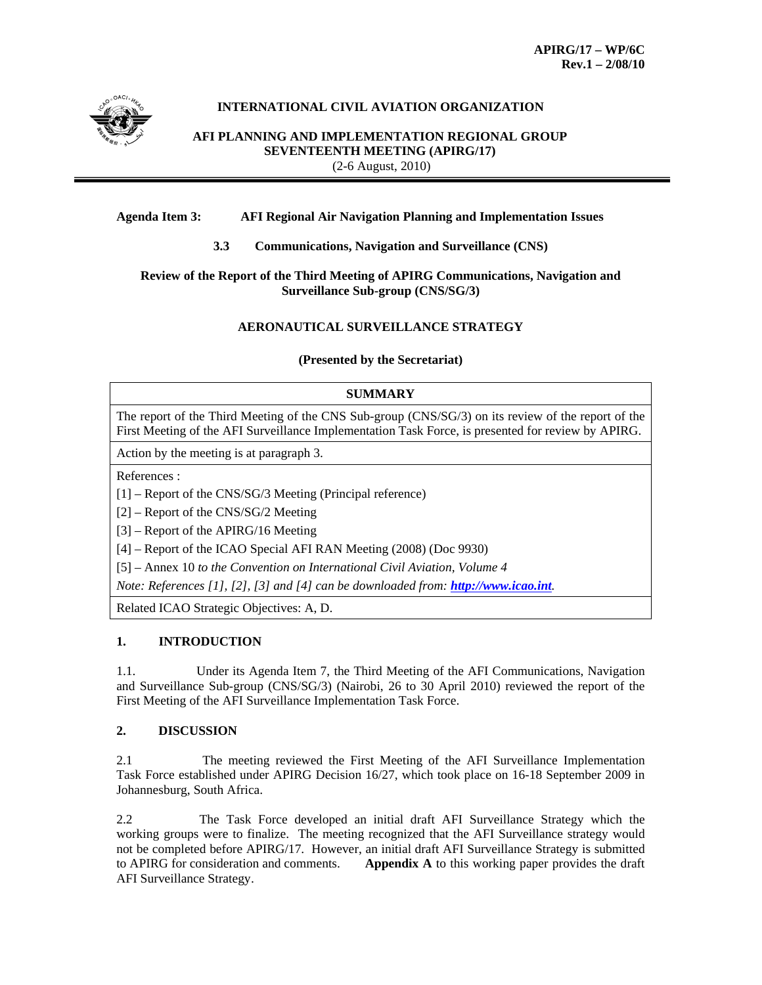

# **INTERNATIONAL CIVIL AVIATION ORGANIZATION**

**AFI PLANNING AND IMPLEMENTATION REGIONAL GROUP SEVENTEENTH MEETING (APIRG/17)** (2-6 August, 2010)

#### **Agenda Item 3: AFI Regional Air Navigation Planning and Implementation Issues**

**3.3 Communications, Navigation and Surveillance (CNS)** 

#### **Review of the Report of the Third Meeting of APIRG Communications, Navigation and Surveillance Sub-group (CNS/SG/3)**

### **AERONAUTICAL SURVEILLANCE STRATEGY**

**(Presented by the Secretariat)** 

#### **SUMMARY**

The report of the Third Meeting of the CNS Sub-group (CNS/SG/3) on its review of the report of the First Meeting of the AFI Surveillance Implementation Task Force, is presented for review by APIRG.

Action by the meeting is at paragraph 3.

References :

[1] – Report of the CNS/SG/3 Meeting (Principal reference)

[2] – Report of the CNS/SG/2 Meeting

[3] – Report of the APIRG/16 Meeting

[4] – Report of the ICAO Special AFI RAN Meeting (2008) (Doc 9930)

[5] – Annex 10 *to the Convention on International Civil Aviation, Volume 4*

*Note: References [1], [2], [3] and [4] can be downloaded from: http://www.icao.int.*

Related ICAO Strategic Objectives: A, D.

### **1. INTRODUCTION**

1.1. Under its Agenda Item 7, the Third Meeting of the AFI Communications, Navigation and Surveillance Sub-group (CNS/SG/3) (Nairobi, 26 to 30 April 2010) reviewed the report of the First Meeting of the AFI Surveillance Implementation Task Force.

### **2. DISCUSSION**

2.1The meeting reviewed the First Meeting of the AFI Surveillance Implementation Task Force established under APIRG Decision 16/27, which took place on 16-18 September 2009 in Johannesburg, South Africa.

2.2 The Task Force developed an initial draft AFI Surveillance Strategy which the working groups were to finalize. The meeting recognized that the AFI Surveillance strategy would not be completed before APIRG/17. However, an initial draft AFI Surveillance Strategy is submitted to APIRG for consideration and comments. **Appendix A** to this working paper provides the draft AFI Surveillance Strategy.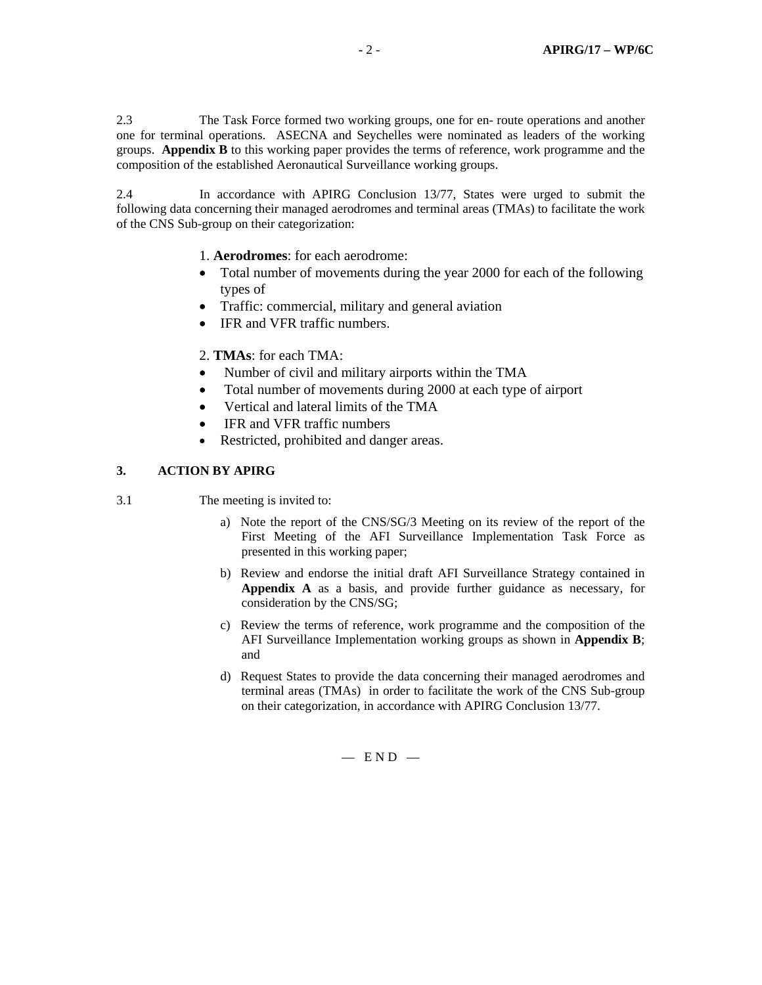2.3 The Task Force formed two working groups, one for en- route operations and another one for terminal operations. ASECNA and Seychelles were nominated as leaders of the working groups. **Appendix B** to this working paper provides the terms of reference, work programme and the composition of the established Aeronautical Surveillance working groups.

2.4 In accordance with APIRG Conclusion 13/77, States were urged to submit the following data concerning their managed aerodromes and terminal areas (TMAs) to facilitate the work of the CNS Sub-group on their categorization:

1. **Aerodromes**: for each aerodrome:

- Total number of movements during the year 2000 for each of the following types of
- Traffic: commercial, military and general aviation
- IFR and VFR traffic numbers.

2. **TMAs**: for each TMA:

- Number of civil and military airports within the TMA
- Total number of movements during 2000 at each type of airport
- Vertical and lateral limits of the TMA
- IFR and VFR traffic numbers
- Restricted, prohibited and danger areas.

### **3. ACTION BY APIRG**

- 3.1 The meeting is invited to:
	- a) Note the report of the CNS/SG/3 Meeting on its review of the report of the First Meeting of the AFI Surveillance Implementation Task Force as presented in this working paper;
	- b) Review and endorse the initial draft AFI Surveillance Strategy contained in **Appendix A** as a basis, and provide further guidance as necessary, for consideration by the CNS/SG;
	- c) Review the terms of reference, work programme and the composition of the AFI Surveillance Implementation working groups as shown in **Appendix B**; and
	- d) Request States to provide the data concerning their managed aerodromes and terminal areas (TMAs) in order to facilitate the work of the CNS Sub-group on their categorization, in accordance with APIRG Conclusion 13/77.

 $-$  END  $-$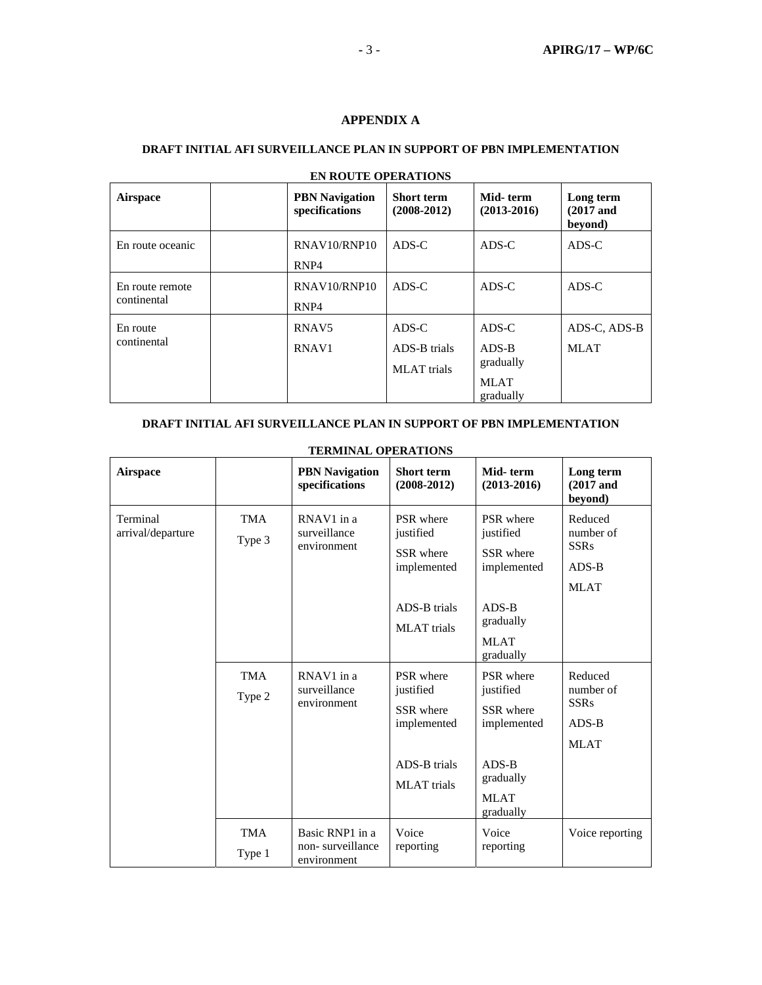# **APPENDIX A**

### **DRAFT INITIAL AFI SURVEILLANCE PLAN IN SUPPORT OF PBN IMPLEMENTATION**

| <b>Airspace</b>                | <b>PBN</b> Navigation<br>specifications | <b>Short term</b><br>$(2008-2012)$          | Mid-term<br>$(2013 - 2016)$                               | Long term<br>$(2017$ and<br>beyond) |
|--------------------------------|-----------------------------------------|---------------------------------------------|-----------------------------------------------------------|-------------------------------------|
| En route oceanic               | RNAV10/RNP10<br>RNP <sub>4</sub>        | $ADS-C$                                     | $ADS-C$                                                   | ADS-C                               |
| En route remote<br>continental | RNAV10/RNP10<br>RNP <sub>4</sub>        | $ADS-C$                                     | $ADS-C$                                                   | ADS-C                               |
| En route<br>continental        | RNAV <sub>5</sub><br>RNAV <sub>1</sub>  | ADS-C<br>ADS-B trials<br><b>MLAT</b> trials | $ADS-C$<br>ADS-B<br>gradually<br><b>MLAT</b><br>gradually | ADS-C. ADS-B<br><b>MLAT</b>         |

# **EN ROUTE OPERATIONS**

### **DRAFT INITIAL AFI SURVEILLANCE PLAN IN SUPPORT OF PBN IMPLEMENTATION**

| Airspace                      |                      | <b>PBN</b> Navigation<br>specifications            | <b>Short term</b><br>$(2008 - 2012)$                                                     | Mid-term<br>$(2013 - 2016)$                                                                            | Long term<br>$(2017$ and<br>beyond)                           |
|-------------------------------|----------------------|----------------------------------------------------|------------------------------------------------------------------------------------------|--------------------------------------------------------------------------------------------------------|---------------------------------------------------------------|
| Terminal<br>arrival/departure | <b>TMA</b><br>Type 3 | RNAV1 in a<br>surveillance<br>environment          | PSR where<br>justified<br>SSR where<br>implemented<br>ADS-B trials<br><b>MLAT</b> trials | PSR where<br>justified<br>SSR where<br>implemented<br>$ADS-B$<br>gradually<br><b>MLAT</b><br>gradually | Reduced<br>number of<br><b>SSRs</b><br>$ADS-B$<br><b>MLAT</b> |
|                               | <b>TMA</b><br>Type 2 | RNAV1 in a<br>surveillance<br>environment          | PSR where<br>justified<br>SSR where<br>implemented<br>ADS-B trials<br><b>MLAT</b> trials | PSR where<br>justified<br>SSR where<br>implemented<br>$ADS-B$<br>gradually<br><b>MLAT</b><br>gradually | Reduced<br>number of<br><b>SSRs</b><br>$ADS-B$<br><b>MLAT</b> |
|                               | <b>TMA</b><br>Type 1 | Basic RNP1 in a<br>non-surveillance<br>environment | Voice<br>reporting                                                                       | Voice<br>reporting                                                                                     | Voice reporting                                               |

### **TERMINAL OPERATIONS**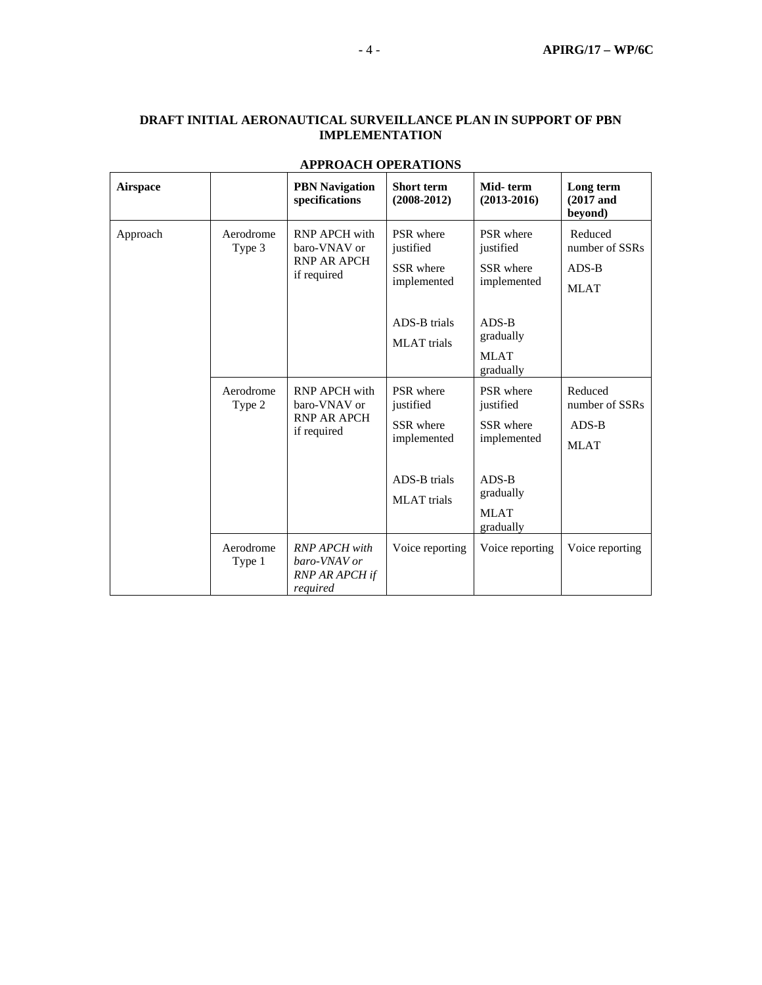# **DRAFT INITIAL AERONAUTICAL SURVEILLANCE PLAN IN SUPPORT OF PBN IMPLEMENTATION**

| <b>Airspace</b> |                     | <b>PBN</b> Navigation<br>specifications                                   | <b>Short term</b><br>$(2008 - 2012)$                                                     | Mid-term<br>$(2013 - 2016)$                                                | Long term<br>$(2017$ and<br>beyond)                 |
|-----------------|---------------------|---------------------------------------------------------------------------|------------------------------------------------------------------------------------------|----------------------------------------------------------------------------|-----------------------------------------------------|
| Approach        | Aerodrome<br>Type 3 | <b>RNP APCH with</b><br>baro-VNAV or<br><b>RNP AR APCH</b><br>if required | PSR where<br>justified<br>SSR where<br>implemented                                       | PSR where<br>justified<br>SSR where<br>implemented                         | Reduced<br>number of SSRs<br>$ADS-B$<br><b>MLAT</b> |
|                 |                     |                                                                           | ADS-B trials<br><b>MLAT</b> trials                                                       | $ADS-B$<br>gradually<br><b>MLAT</b><br>gradually                           |                                                     |
|                 | Aerodrome<br>Type 2 | <b>RNP APCH with</b><br>baro-VNAV or<br><b>RNP AR APCH</b><br>if required | PSR where<br>justified<br>SSR where<br>implemented<br>ADS-B trials<br><b>MLAT</b> trials | PSR where<br>justified<br>SSR where<br>implemented<br>$ADS-B$<br>gradually | Reduced<br>number of SSRs<br>$ADS-B$<br><b>MLAT</b> |
|                 | Aerodrome<br>Type 1 | <b>RNP APCH</b> with<br>baro-VNAV or<br><b>RNP AR APCH if</b><br>required | Voice reporting                                                                          | <b>MLAT</b><br>gradually<br>Voice reporting                                | Voice reporting                                     |

# **APPROACH OPERATIONS**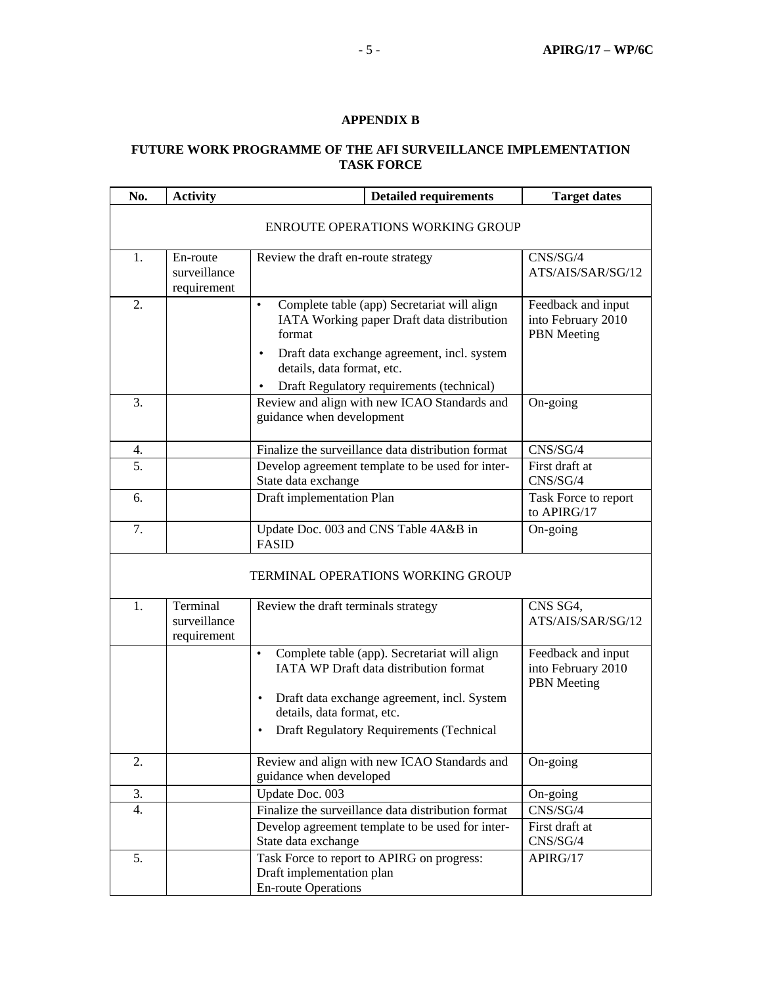# **APPENDIX B**

# **FUTURE WORK PROGRAMME OF THE AFI SURVEILLANCE IMPLEMENTATION TASK FORCE**

| No.                                     | <b>Activity</b>                         | <b>Detailed requirements</b>                                                                                                                                                                                                                            | <b>Target dates</b>                                            |  |  |  |  |
|-----------------------------------------|-----------------------------------------|---------------------------------------------------------------------------------------------------------------------------------------------------------------------------------------------------------------------------------------------------------|----------------------------------------------------------------|--|--|--|--|
| <b>ENROUTE OPERATIONS WORKING GROUP</b> |                                         |                                                                                                                                                                                                                                                         |                                                                |  |  |  |  |
| 1.                                      | En-route<br>surveillance<br>requirement | Review the draft en-route strategy                                                                                                                                                                                                                      | CNS/SG/4<br>ATS/AIS/SAR/SG/12                                  |  |  |  |  |
| 2.                                      |                                         | Complete table (app) Secretariat will align<br>$\bullet$<br>IATA Working paper Draft data distribution<br>format<br>Draft data exchange agreement, incl. system<br>$\bullet$<br>details, data format, etc.<br>Draft Regulatory requirements (technical) | Feedback and input<br>into February 2010<br><b>PBN</b> Meeting |  |  |  |  |
| 3.                                      |                                         | Review and align with new ICAO Standards and<br>guidance when development                                                                                                                                                                               | On-going                                                       |  |  |  |  |
| 4.                                      |                                         | Finalize the surveillance data distribution format                                                                                                                                                                                                      | CNS/SG/4                                                       |  |  |  |  |
| 5.                                      |                                         | Develop agreement template to be used for inter-<br>State data exchange                                                                                                                                                                                 | First draft at<br>CNS/SG/4                                     |  |  |  |  |
| 6.                                      |                                         | Draft implementation Plan                                                                                                                                                                                                                               | Task Force to report<br>to APIRG/17                            |  |  |  |  |
| 7.                                      |                                         | Update Doc. 003 and CNS Table 4A&B in<br><b>FASID</b>                                                                                                                                                                                                   | On-going                                                       |  |  |  |  |
|                                         | TERMINAL OPERATIONS WORKING GROUP       |                                                                                                                                                                                                                                                         |                                                                |  |  |  |  |
| 1.                                      | Terminal<br>surveillance<br>requirement | Review the draft terminals strategy                                                                                                                                                                                                                     | CNS SG4,<br>ATS/AIS/SAR/SG/12                                  |  |  |  |  |
|                                         |                                         | Complete table (app). Secretariat will align<br>$\bullet$<br><b>IATA WP Draft data distribution format</b><br>Draft data exchange agreement, incl. System<br>$\bullet$<br>details, data format, etc.<br><b>Draft Regulatory Requirements (Technical</b> | Feedback and input<br>into February 2010<br><b>PBN</b> Meeting |  |  |  |  |
| 2.                                      |                                         | Review and align with new ICAO Standards and<br>guidance when developed                                                                                                                                                                                 | On-going                                                       |  |  |  |  |
| 3.                                      |                                         | Update Doc. 003                                                                                                                                                                                                                                         | On-going                                                       |  |  |  |  |
| 4.                                      |                                         | Finalize the surveillance data distribution format                                                                                                                                                                                                      | CNS/SG/4                                                       |  |  |  |  |
|                                         |                                         | Develop agreement template to be used for inter-                                                                                                                                                                                                        | First draft at                                                 |  |  |  |  |
|                                         |                                         | State data exchange<br>CNS/SG/4                                                                                                                                                                                                                         |                                                                |  |  |  |  |
| 5.                                      |                                         | Task Force to report to APIRG on progress:<br>Draft implementation plan<br><b>En-route Operations</b>                                                                                                                                                   | APIRG/17                                                       |  |  |  |  |